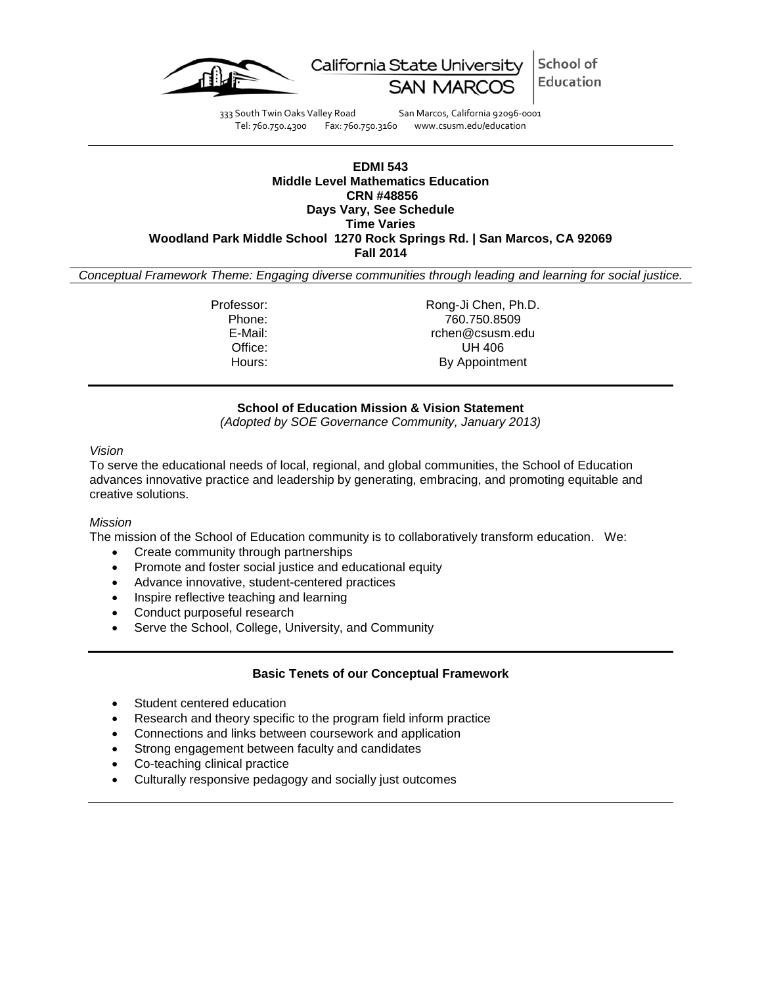

School of California State University Education

333 South Twin Oaks Valley Road San Marcos, California 92096-0001 Tel: 760.750.4300 Fax: 760.750.3160 www.csusm.edu/education

#### **EDMI 543 Middle Level Mathematics Education CRN #48856 Days Vary, See Schedule Time Varies Woodland Park Middle School 1270 Rock Springs Rd. | San Marcos, CA 92069 Fall 2014**

*Conceptual Framework Theme: Engaging diverse communities through leading and learning for social justice.*

Professor: Rong-Ji Chen, Ph.D. Phone: 760.750.8509 E-Mail: rchen@csusm.edu Office: UH 406<br>
Hours: By Appointm By Appointment

# **School of Education Mission & Vision Statement**

*(Adopted by SOE Governance Community, January 2013)*

*Vision*

To serve the educational needs of local, regional, and global communities, the School of Education advances innovative practice and leadership by generating, embracing, and promoting equitable and creative solutions.

#### *Mission*

The mission of the School of Education community is to collaboratively transform education. We:

- Create community through partnerships
- Promote and foster social justice and educational equity
- Advance innovative, student-centered practices
- Inspire reflective teaching and learning
- Conduct purposeful research
- Serve the School, College, University, and Community

# **Basic Tenets of our Conceptual Framework**

- Student centered education
- Research and theory specific to the program field inform practice
- Connections and links between coursework and application
- Strong engagement between faculty and candidates
- Co-teaching clinical practice
- Culturally responsive pedagogy and socially just outcomes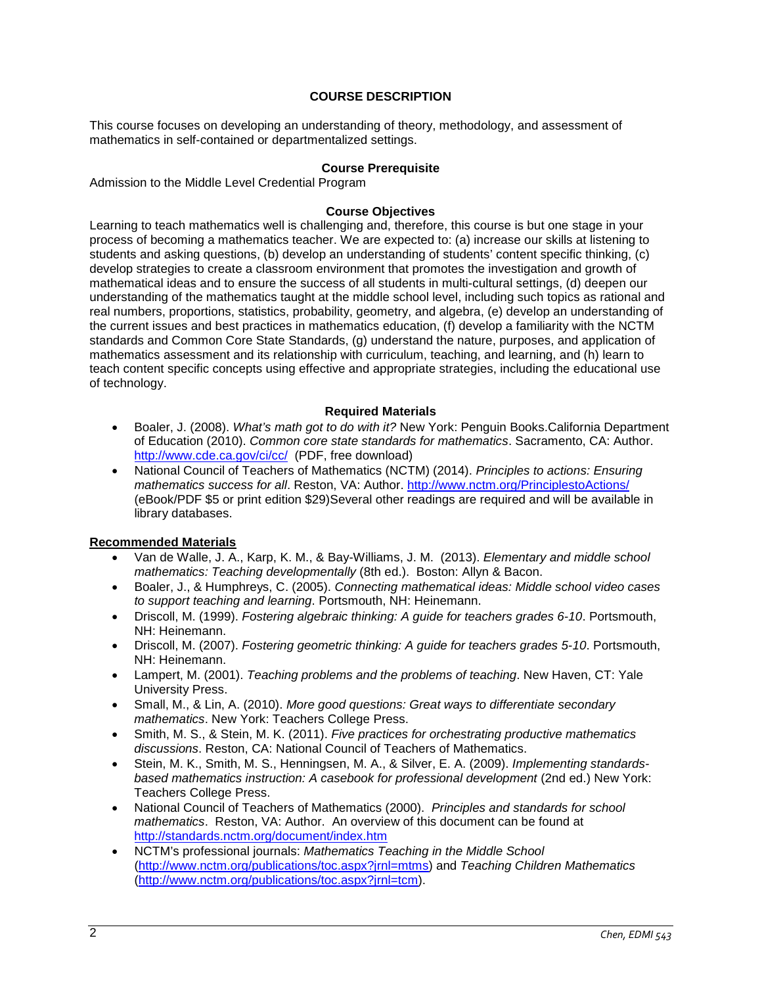# **COURSE DESCRIPTION**

This course focuses on developing an understanding of theory, methodology, and assessment of mathematics in self-contained or departmentalized settings.

#### **Course Prerequisite**

Admission to the Middle Level Credential Program

### **Course Objectives**

Learning to teach mathematics well is challenging and, therefore, this course is but one stage in your process of becoming a mathematics teacher. We are expected to: (a) increase our skills at listening to students and asking questions, (b) develop an understanding of students' content specific thinking, (c) develop strategies to create a classroom environment that promotes the investigation and growth of mathematical ideas and to ensure the success of all students in multi-cultural settings, (d) deepen our understanding of the mathematics taught at the middle school level, including such topics as rational and real numbers, proportions, statistics, probability, geometry, and algebra, (e) develop an understanding of the current issues and best practices in mathematics education, (f) develop a familiarity with the NCTM standards and Common Core State Standards, (g) understand the nature, purposes, and application of mathematics assessment and its relationship with curriculum, teaching, and learning, and (h) learn to teach content specific concepts using effective and appropriate strategies, including the educational use of technology.

### **Required Materials**

- Boaler, J. (2008). *What's math got to do with it?* New York: Penguin Books.California Department of Education (2010). *Common core state standards for mathematics*. Sacramento, CA: Author. <http://www.cde.ca.gov/ci/cc/> (PDF, free download)
- National Council of Teachers of Mathematics (NCTM) (2014). *Principles to actions: Ensuring mathematics success for all*. Reston, VA: Author.<http://www.nctm.org/PrinciplestoActions/> (eBook/PDF \$5 or print edition \$29)Several other readings are required and will be available in library databases.

#### **Recommended Materials**

- Van de Walle, J. A., Karp, K. M., & Bay-Williams, J. M. (2013). *Elementary and middle school mathematics: Teaching developmentally* (8th ed.). Boston: Allyn & Bacon.
- Boaler, J., & Humphreys, C. (2005). *Connecting mathematical ideas: Middle school video cases to support teaching and learning*. Portsmouth, NH: Heinemann.
- Driscoll, M. (1999). *Fostering algebraic thinking: A guide for teachers grades 6-10*. Portsmouth, NH: Heinemann.
- Driscoll, M. (2007). *Fostering geometric thinking: A guide for teachers grades 5-10*. Portsmouth, NH: Heinemann.
- Lampert, M. (2001). *Teaching problems and the problems of teaching*. New Haven, CT: Yale University Press.
- Small, M., & Lin, A. (2010). *More good questions: Great ways to differentiate secondary mathematics*. New York: Teachers College Press.
- Smith, M. S., & Stein, M. K. (2011). *Five practices for orchestrating productive mathematics discussions*. Reston, CA: National Council of Teachers of Mathematics.
- Stein, M. K., Smith, M. S., Henningsen, M. A., & Silver, E. A. (2009). *Implementing standardsbased mathematics instruction: A casebook for professional development* (2nd ed.) New York: Teachers College Press.
- National Council of Teachers of Mathematics (2000). *Principles and standards for school mathematics*. Reston, VA: Author. An overview of this document can be found at <http://standards.nctm.org/document/index.htm>
- NCTM's professional journals: *Mathematics Teaching in the Middle School* [\(http://www.nctm.org/publications/toc.aspx?jrnl=mtms\)](http://www.nctm.org/publications/toc.aspx?jrnl=mtms) and *Teaching Children Mathematics* [\(http://www.nctm.org/publications/toc.aspx?jrnl=tcm\)](http://www.nctm.org/publications/toc.aspx?jrnl=tcm).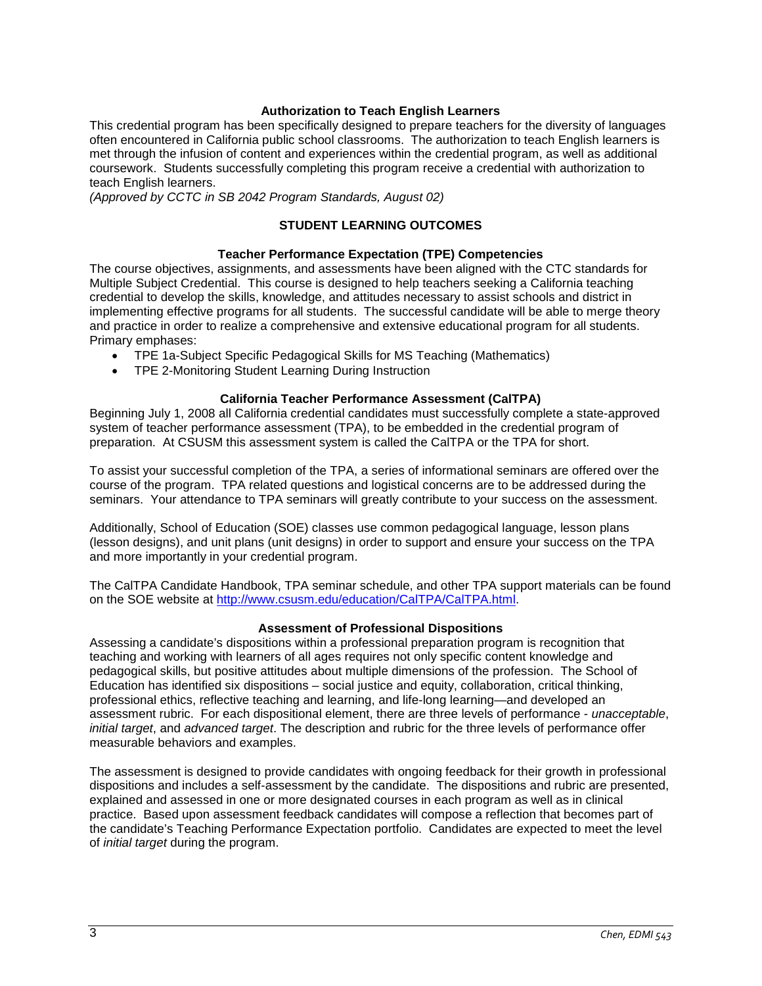### **Authorization to Teach English Learners**

This credential program has been specifically designed to prepare teachers for the diversity of languages often encountered in California public school classrooms. The authorization to teach English learners is met through the infusion of content and experiences within the credential program, as well as additional coursework. Students successfully completing this program receive a credential with authorization to teach English learners.

*(Approved by CCTC in SB 2042 Program Standards, August 02)*

# **STUDENT LEARNING OUTCOMES**

# **Teacher Performance Expectation (TPE) Competencies**

The course objectives, assignments, and assessments have been aligned with the CTC standards for Multiple Subject Credential. This course is designed to help teachers seeking a California teaching credential to develop the skills, knowledge, and attitudes necessary to assist schools and district in implementing effective programs for all students. The successful candidate will be able to merge theory and practice in order to realize a comprehensive and extensive educational program for all students. Primary emphases:

- TPE 1a-Subject Specific Pedagogical Skills for MS Teaching (Mathematics)
- TPE 2-Monitoring Student Learning During Instruction

### **California Teacher Performance Assessment (CalTPA)**

Beginning July 1, 2008 all California credential candidates must successfully complete a state-approved system of teacher performance assessment (TPA), to be embedded in the credential program of preparation. At CSUSM this assessment system is called the CalTPA or the TPA for short.

To assist your successful completion of the TPA, a series of informational seminars are offered over the course of the program. TPA related questions and logistical concerns are to be addressed during the seminars. Your attendance to TPA seminars will greatly contribute to your success on the assessment.

Additionally, School of Education (SOE) classes use common pedagogical language, lesson plans (lesson designs), and unit plans (unit designs) in order to support and ensure your success on the TPA and more importantly in your credential program.

The CalTPA Candidate Handbook, TPA seminar schedule, and other TPA support materials can be found on the SOE website at [http://www.csusm.edu/education/CalTPA/CalTPA.html.](http://www.csusm.edu/education/CalTPA/CalTPA.html)

#### **Assessment of Professional Dispositions**

Assessing a candidate's dispositions within a professional preparation program is recognition that teaching and working with learners of all ages requires not only specific content knowledge and pedagogical skills, but positive attitudes about multiple dimensions of the profession. The School of Education has identified six dispositions – social justice and equity, collaboration, critical thinking, professional ethics, reflective teaching and learning, and life-long learning—and developed an assessment rubric. For each dispositional element, there are three levels of performance - *unacceptable*, *initial target*, and *advanced target*. The description and rubric for the three levels of performance offer measurable behaviors and examples.

The assessment is designed to provide candidates with ongoing feedback for their growth in professional dispositions and includes a self-assessment by the candidate. The dispositions and rubric are presented, explained and assessed in one or more designated courses in each program as well as in clinical practice. Based upon assessment feedback candidates will compose a reflection that becomes part of the candidate's Teaching Performance Expectation portfolio. Candidates are expected to meet the level of *initial target* during the program.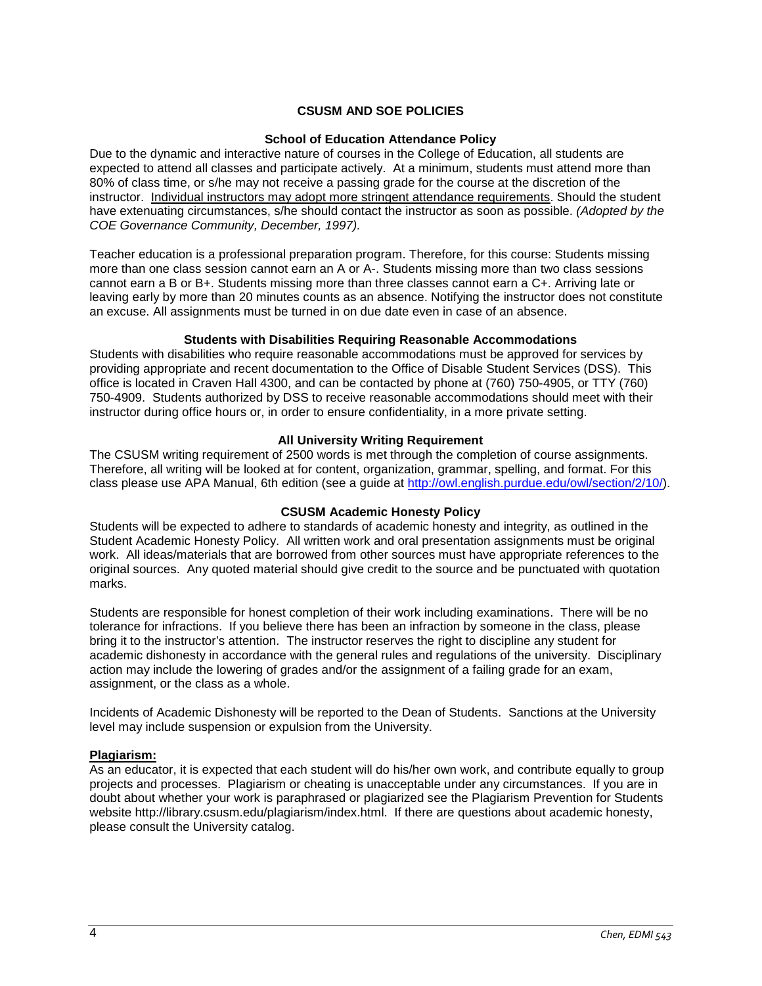# **CSUSM AND SOE POLICIES**

#### **School of Education Attendance Policy**

Due to the dynamic and interactive nature of courses in the College of Education, all students are expected to attend all classes and participate actively. At a minimum, students must attend more than 80% of class time, or s/he may not receive a passing grade for the course at the discretion of the instructor. Individual instructors may adopt more stringent attendance requirements. Should the student have extenuating circumstances, s/he should contact the instructor as soon as possible. *(Adopted by the COE Governance Community, December, 1997).*

Teacher education is a professional preparation program. Therefore, for this course: Students missing more than one class session cannot earn an A or A-. Students missing more than two class sessions cannot earn a B or B+. Students missing more than three classes cannot earn a C+. Arriving late or leaving early by more than 20 minutes counts as an absence. Notifying the instructor does not constitute an excuse. All assignments must be turned in on due date even in case of an absence.

#### **Students with Disabilities Requiring Reasonable Accommodations**

Students with disabilities who require reasonable accommodations must be approved for services by providing appropriate and recent documentation to the Office of Disable Student Services (DSS). This office is located in Craven Hall 4300, and can be contacted by phone at (760) 750-4905, or TTY (760) 750-4909. Students authorized by DSS to receive reasonable accommodations should meet with their instructor during office hours or, in order to ensure confidentiality, in a more private setting.

### **All University Writing Requirement**

The CSUSM writing requirement of 2500 words is met through the completion of course assignments. Therefore, all writing will be looked at for content, organization, grammar, spelling, and format. For this class please use APA Manual, 6th edition (see a guide at [http://owl.english.purdue.edu/owl/section/2/10/\)](http://owl.english.purdue.edu/owl/section/2/10/).

#### **CSUSM Academic Honesty Policy**

Students will be expected to adhere to standards of academic honesty and integrity, as outlined in the Student Academic Honesty Policy. All written work and oral presentation assignments must be original work. All ideas/materials that are borrowed from other sources must have appropriate references to the original sources. Any quoted material should give credit to the source and be punctuated with quotation marks.

Students are responsible for honest completion of their work including examinations. There will be no tolerance for infractions. If you believe there has been an infraction by someone in the class, please bring it to the instructor's attention. The instructor reserves the right to discipline any student for academic dishonesty in accordance with the general rules and regulations of the university. Disciplinary action may include the lowering of grades and/or the assignment of a failing grade for an exam, assignment, or the class as a whole.

Incidents of Academic Dishonesty will be reported to the Dean of Students. Sanctions at the University level may include suspension or expulsion from the University.

#### **Plagiarism:**

As an educator, it is expected that each student will do his/her own work, and contribute equally to group projects and processes. Plagiarism or cheating is unacceptable under any circumstances. If you are in doubt about whether your work is paraphrased or plagiarized see the Plagiarism Prevention for Students website http://library.csusm.edu/plagiarism/index.html. If there are questions about academic honesty, please consult the University catalog.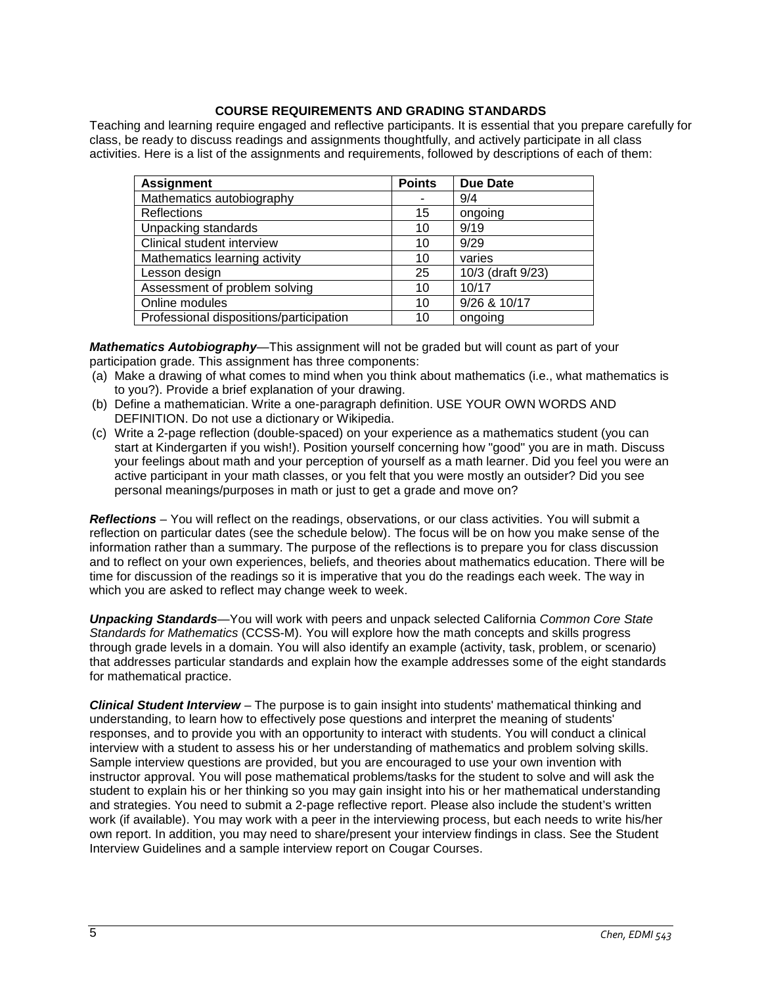### **COURSE REQUIREMENTS AND GRADING STANDARDS**

Teaching and learning require engaged and reflective participants. It is essential that you prepare carefully for class, be ready to discuss readings and assignments thoughtfully, and actively participate in all class activities. Here is a list of the assignments and requirements, followed by descriptions of each of them:

| <b>Assignment</b>                       | <b>Points</b> | <b>Due Date</b>   |
|-----------------------------------------|---------------|-------------------|
| Mathematics autobiography               |               | 9/4               |
| Reflections                             | 15            | ongoing           |
| Unpacking standards                     | 10            | 9/19              |
| Clinical student interview              | 10            | 9/29              |
| Mathematics learning activity           | 10            | varies            |
| Lesson design                           | 25            | 10/3 (draft 9/23) |
| Assessment of problem solving           | 10            | 10/17             |
| Online modules                          | 10            | 9/26 & 10/17      |
| Professional dispositions/participation | 10            | ongoing           |

*Mathematics Autobiography*—This assignment will not be graded but will count as part of your participation grade. This assignment has three components:

- (a) Make a drawing of what comes to mind when you think about mathematics (i.e., what mathematics is to you?). Provide a brief explanation of your drawing.
- (b) Define a mathematician. Write a one-paragraph definition. USE YOUR OWN WORDS AND DEFINITION. Do not use a dictionary or Wikipedia.
- (c) Write a 2-page reflection (double-spaced) on your experience as a mathematics student (you can start at Kindergarten if you wish!). Position yourself concerning how "good" you are in math. Discuss your feelings about math and your perception of yourself as a math learner. Did you feel you were an active participant in your math classes, or you felt that you were mostly an outsider? Did you see personal meanings/purposes in math or just to get a grade and move on?

*Reflections* – You will reflect on the readings, observations, or our class activities. You will submit a reflection on particular dates (see the schedule below). The focus will be on how you make sense of the information rather than a summary. The purpose of the reflections is to prepare you for class discussion and to reflect on your own experiences, beliefs, and theories about mathematics education. There will be time for discussion of the readings so it is imperative that you do the readings each week. The way in which you are asked to reflect may change week to week.

*Unpacking Standards*—You will work with peers and unpack selected California *Common Core State Standards for Mathematics* (CCSS-M). You will explore how the math concepts and skills progress through grade levels in a domain. You will also identify an example (activity, task, problem, or scenario) that addresses particular standards and explain how the example addresses some of the eight standards for mathematical practice.

*Clinical Student Interview* – The purpose is to gain insight into students' mathematical thinking and understanding, to learn how to effectively pose questions and interpret the meaning of students' responses, and to provide you with an opportunity to interact with students. You will conduct a clinical interview with a student to assess his or her understanding of mathematics and problem solving skills. Sample interview questions are provided, but you are encouraged to use your own invention with instructor approval. You will pose mathematical problems/tasks for the student to solve and will ask the student to explain his or her thinking so you may gain insight into his or her mathematical understanding and strategies. You need to submit a 2-page reflective report. Please also include the student's written work (if available). You may work with a peer in the interviewing process, but each needs to write his/her own report. In addition, you may need to share/present your interview findings in class. See the Student Interview Guidelines and a sample interview report on Cougar Courses.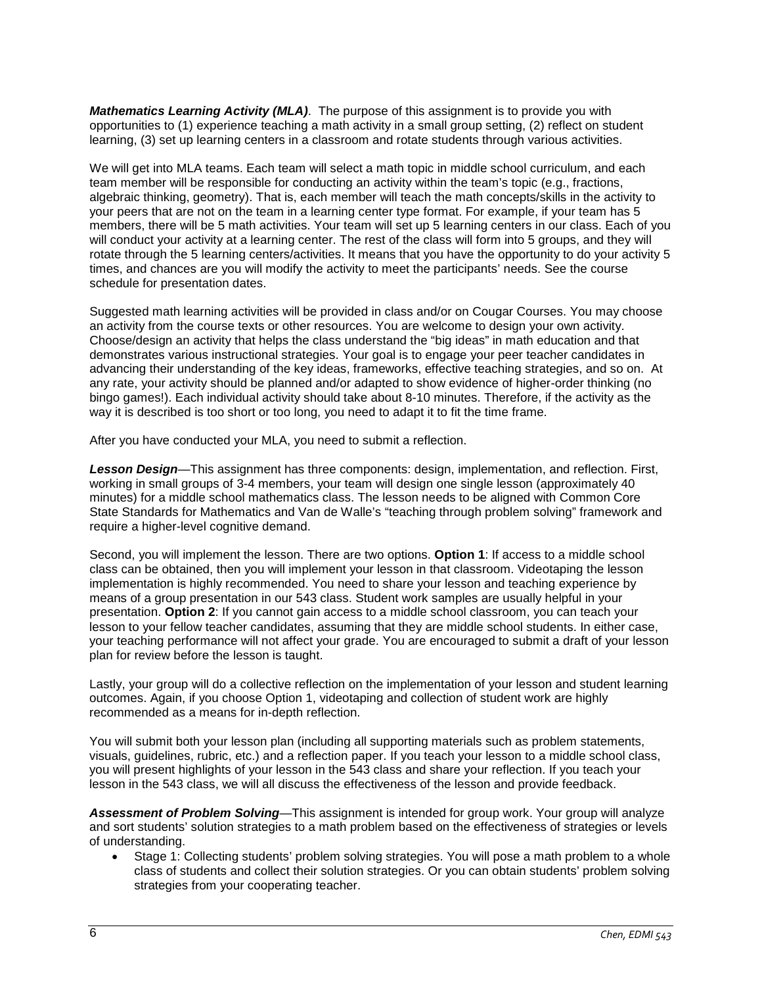*Mathematics Learning Activity (MLA)*. The purpose of this assignment is to provide you with opportunities to (1) experience teaching a math activity in a small group setting, (2) reflect on student learning, (3) set up learning centers in a classroom and rotate students through various activities.

We will get into MLA teams. Each team will select a math topic in middle school curriculum, and each team member will be responsible for conducting an activity within the team's topic (e.g., fractions, algebraic thinking, geometry). That is, each member will teach the math concepts/skills in the activity to your peers that are not on the team in a learning center type format. For example, if your team has 5 members, there will be 5 math activities. Your team will set up 5 learning centers in our class. Each of you will conduct your activity at a learning center. The rest of the class will form into 5 groups, and they will rotate through the 5 learning centers/activities. It means that you have the opportunity to do your activity 5 times, and chances are you will modify the activity to meet the participants' needs. See the course schedule for presentation dates.

Suggested math learning activities will be provided in class and/or on Cougar Courses. You may choose an activity from the course texts or other resources. You are welcome to design your own activity. Choose/design an activity that helps the class understand the "big ideas" in math education and that demonstrates various instructional strategies. Your goal is to engage your peer teacher candidates in advancing their understanding of the key ideas, frameworks, effective teaching strategies, and so on. At any rate, your activity should be planned and/or adapted to show evidence of higher-order thinking (no bingo games!). Each individual activity should take about 8-10 minutes. Therefore, if the activity as the way it is described is too short or too long, you need to adapt it to fit the time frame.

After you have conducted your MLA, you need to submit a reflection.

*Lesson Design*—This assignment has three components: design, implementation, and reflection. First, working in small groups of 3-4 members, your team will design one single lesson (approximately 40 minutes) for a middle school mathematics class. The lesson needs to be aligned with Common Core State Standards for Mathematics and Van de Walle's "teaching through problem solving" framework and require a higher-level cognitive demand.

Second, you will implement the lesson. There are two options. **Option 1**: If access to a middle school class can be obtained, then you will implement your lesson in that classroom. Videotaping the lesson implementation is highly recommended. You need to share your lesson and teaching experience by means of a group presentation in our 543 class. Student work samples are usually helpful in your presentation. **Option 2**: If you cannot gain access to a middle school classroom, you can teach your lesson to your fellow teacher candidates, assuming that they are middle school students. In either case, your teaching performance will not affect your grade. You are encouraged to submit a draft of your lesson plan for review before the lesson is taught.

Lastly, your group will do a collective reflection on the implementation of your lesson and student learning outcomes. Again, if you choose Option 1, videotaping and collection of student work are highly recommended as a means for in-depth reflection.

You will submit both your lesson plan (including all supporting materials such as problem statements, visuals, guidelines, rubric, etc.) and a reflection paper. If you teach your lesson to a middle school class, you will present highlights of your lesson in the 543 class and share your reflection. If you teach your lesson in the 543 class, we will all discuss the effectiveness of the lesson and provide feedback.

*Assessment of Problem Solving*—This assignment is intended for group work. Your group will analyze and sort students' solution strategies to a math problem based on the effectiveness of strategies or levels of understanding.

• Stage 1: Collecting students' problem solving strategies. You will pose a math problem to a whole class of students and collect their solution strategies. Or you can obtain students' problem solving strategies from your cooperating teacher.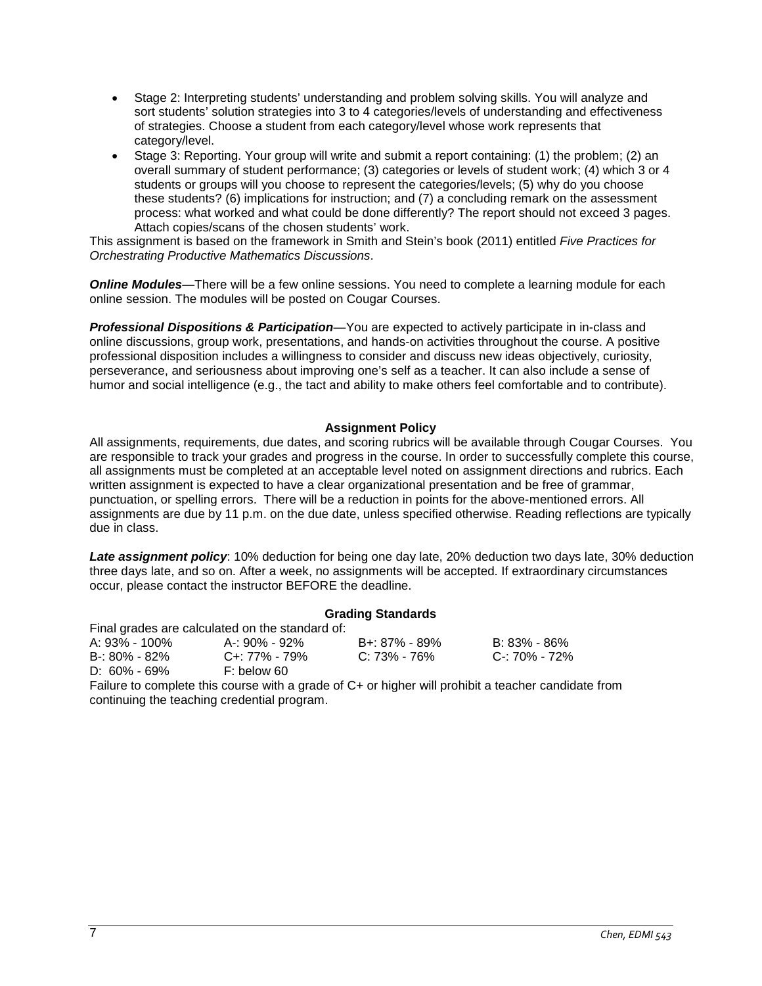- Stage 2: Interpreting students' understanding and problem solving skills. You will analyze and sort students' solution strategies into 3 to 4 categories/levels of understanding and effectiveness of strategies. Choose a student from each category/level whose work represents that category/level.
- Stage 3: Reporting. Your group will write and submit a report containing: (1) the problem; (2) an overall summary of student performance; (3) categories or levels of student work; (4) which 3 or 4 students or groups will you choose to represent the categories/levels; (5) why do you choose these students? (6) implications for instruction; and (7) a concluding remark on the assessment process: what worked and what could be done differently? The report should not exceed 3 pages. Attach copies/scans of the chosen students' work.

This assignment is based on the framework in Smith and Stein's book (2011) entitled *Five Practices for Orchestrating Productive Mathematics Discussions*.

**Online Modules**—There will be a few online sessions. You need to complete a learning module for each online session. The modules will be posted on Cougar Courses.

*Professional Dispositions & Participation*—You are expected to actively participate in in-class and online discussions, group work, presentations, and hands-on activities throughout the course. A positive professional disposition includes a willingness to consider and discuss new ideas objectively, curiosity, perseverance, and seriousness about improving one's self as a teacher. It can also include a sense of humor and social intelligence (e.g., the tact and ability to make others feel comfortable and to contribute).

# **Assignment Policy**

All assignments, requirements, due dates, and scoring rubrics will be available through Cougar Courses. You are responsible to track your grades and progress in the course. In order to successfully complete this course, all assignments must be completed at an acceptable level noted on assignment directions and rubrics. Each written assignment is expected to have a clear organizational presentation and be free of grammar, punctuation, or spelling errors. There will be a reduction in points for the above-mentioned errors. All assignments are due by 11 p.m. on the due date, unless specified otherwise. Reading reflections are typically due in class.

*Late assignment policy*: 10% deduction for being one day late, 20% deduction two days late, 30% deduction three days late, and so on. After a week, no assignments will be accepted. If extraordinary circumstances occur, please contact the instructor BEFORE the deadline.

#### **Grading Standards**

Final grades are calculated on the standard of: A: 93% - 100% A-: 90% - 92% B+: 87% - 89% B: 83% - 86% C+: 77% - 79%<br>F: below 60 D:  $60\% - 69\%$ 

Failure to complete this course with a grade of C+ or higher will prohibit a teacher candidate from continuing the teaching credential program.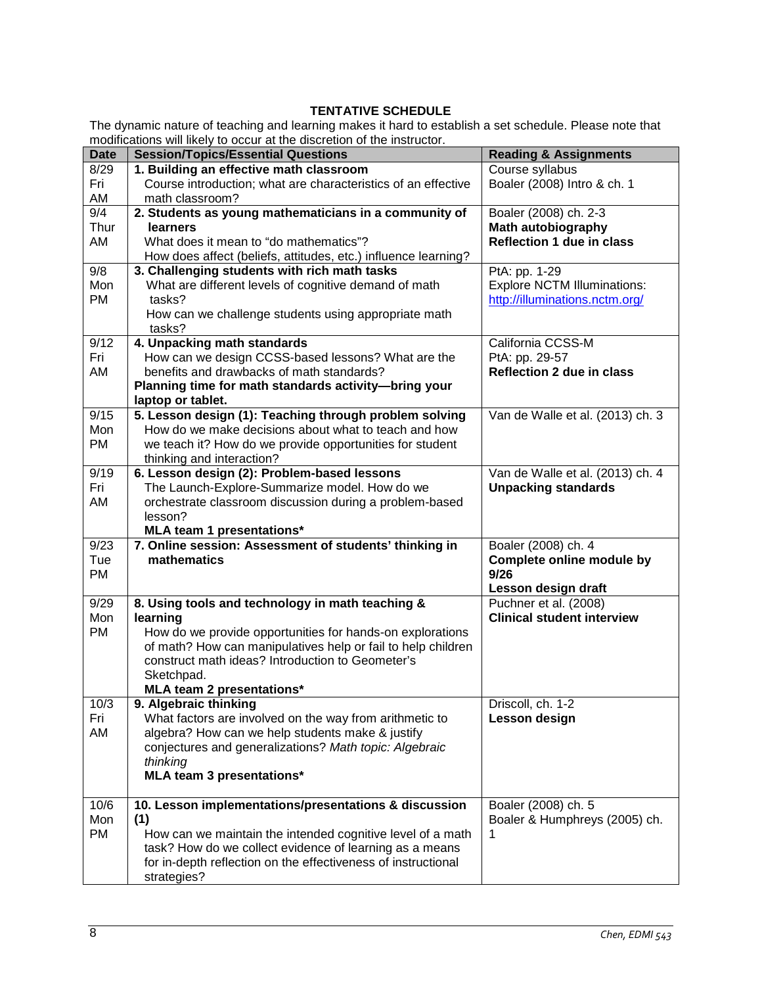# **TENTATIVE SCHEDULE**

The dynamic nature of teaching and learning makes it hard to establish a set schedule. Please note that modifications will likely to occur at the discretion of the instructor.

| <b>Date</b> | modifications will likely to oboar at the discretion of the instruction.<br><b>Session/Topics/Essential Questions</b> | <b>Reading &amp; Assignments</b>   |
|-------------|-----------------------------------------------------------------------------------------------------------------------|------------------------------------|
| 8/29        | 1. Building an effective math classroom                                                                               | Course syllabus                    |
| Fri         | Course introduction; what are characteristics of an effective                                                         | Boaler (2008) Intro & ch. 1        |
| AM          | math classroom?                                                                                                       |                                    |
| 9/4         | 2. Students as young mathematicians in a community of                                                                 | Boaler (2008) ch. 2-3              |
| Thur        | <b>learners</b>                                                                                                       | <b>Math autobiography</b>          |
| AM          | What does it mean to "do mathematics"?                                                                                | <b>Reflection 1 due in class</b>   |
|             | How does affect (beliefs, attitudes, etc.) influence learning?                                                        |                                    |
| 9/8         | 3. Challenging students with rich math tasks                                                                          | PtA: pp. 1-29                      |
| Mon         | What are different levels of cognitive demand of math                                                                 | <b>Explore NCTM Illuminations:</b> |
| <b>PM</b>   | tasks?                                                                                                                | http://illuminations.nctm.org/     |
|             | How can we challenge students using appropriate math                                                                  |                                    |
|             | tasks?                                                                                                                |                                    |
| 9/12        | 4. Unpacking math standards                                                                                           | California CCSS-M                  |
| Fri         | How can we design CCSS-based lessons? What are the                                                                    | PtA: pp. 29-57                     |
| AM          | benefits and drawbacks of math standards?                                                                             | <b>Reflection 2 due in class</b>   |
|             | Planning time for math standards activity-bring your                                                                  |                                    |
|             | laptop or tablet.                                                                                                     |                                    |
| 9/15        | 5. Lesson design (1): Teaching through problem solving                                                                | Van de Walle et al. (2013) ch. 3   |
| Mon         | How do we make decisions about what to teach and how                                                                  |                                    |
| <b>PM</b>   | we teach it? How do we provide opportunities for student                                                              |                                    |
|             | thinking and interaction?                                                                                             |                                    |
| 9/19        | 6. Lesson design (2): Problem-based lessons                                                                           | Van de Walle et al. (2013) ch. 4   |
| Fri         | The Launch-Explore-Summarize model. How do we                                                                         | <b>Unpacking standards</b>         |
| AM          | orchestrate classroom discussion during a problem-based                                                               |                                    |
|             | lesson?                                                                                                               |                                    |
|             | MLA team 1 presentations*                                                                                             |                                    |
| 9/23        | 7. Online session: Assessment of students' thinking in                                                                | Boaler (2008) ch. 4                |
| Tue         | mathematics                                                                                                           | <b>Complete online module by</b>   |
| PM          |                                                                                                                       | 9/26                               |
|             |                                                                                                                       | Lesson design draft                |
| 9/29        | 8. Using tools and technology in math teaching &                                                                      | Puchner et al. (2008)              |
| Mon         | learning                                                                                                              | <b>Clinical student interview</b>  |
| <b>PM</b>   | How do we provide opportunities for hands-on explorations                                                             |                                    |
|             | of math? How can manipulatives help or fail to help children                                                          |                                    |
|             | construct math ideas? Introduction to Geometer's                                                                      |                                    |
|             | Sketchpad.                                                                                                            |                                    |
|             | MLA team 2 presentations*                                                                                             |                                    |
| 10/3<br>Fri | 9. Algebraic thinking                                                                                                 | Driscoll, ch. 1-2<br>Lesson design |
| AM          | What factors are involved on the way from arithmetic to<br>algebra? How can we help students make & justify           |                                    |
|             | conjectures and generalizations? Math topic: Algebraic                                                                |                                    |
|             | thinking                                                                                                              |                                    |
|             | <b>MLA team 3 presentations*</b>                                                                                      |                                    |
|             |                                                                                                                       |                                    |
| 10/6        | 10. Lesson implementations/presentations & discussion                                                                 | Boaler (2008) ch. 5                |
| Mon         | (1)                                                                                                                   | Boaler & Humphreys (2005) ch.      |
| <b>PM</b>   | How can we maintain the intended cognitive level of a math                                                            | 1                                  |
|             | task? How do we collect evidence of learning as a means                                                               |                                    |
|             | for in-depth reflection on the effectiveness of instructional                                                         |                                    |
|             | strategies?                                                                                                           |                                    |